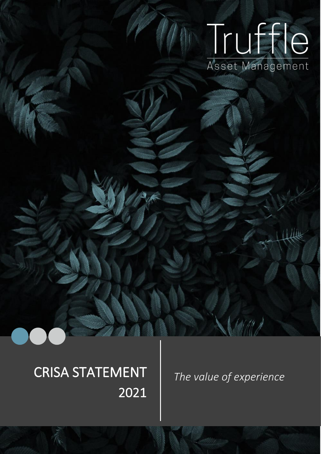# Truffle Asset Management

## CRISA STATEMENT *The value of experience* 2021

ı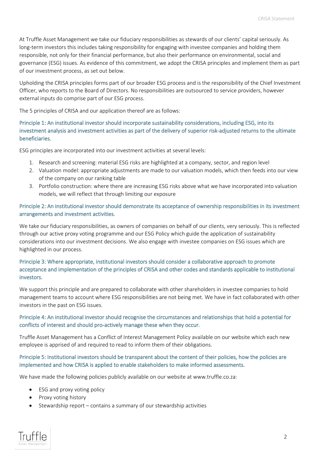At Truffle Asset Management we take our fiduciary responsibilities as stewards of our clients' capital seriously. As long-term investors this includes taking responsibility for engaging with investee companies and holding them responsible, not only for their financial performance, but also their performance on environmental, social and governance (ESG) issues. As evidence of this commitment, we adopt the CRISA principles and implement them as part of our investment process, as set out below.

Upholding the CRISA principles forms part of our broader ESG process and is the responsibility of the Chief Investment Officer, who reports to the Board of Directors. No responsibilities are outsourced to service providers, however external inputs do comprise part of our ESG process.

The 5 principles of CRISA and our application thereof are as follows:

### Principle 1: An institutional investor should incorporate sustainability considerations, including ESG, into its investment analysis and investment activities as part of the delivery of superior risk-adjusted returns to the ultimate beneficiaries.

ESG principles are incorporated into our investment activities at several levels:

- 1. Research and screening: material ESG risks are highlighted at a company, sector, and region level
- 2. Valuation model: appropriate adjustments are made to our valuation models, which then feeds into our view of the company on our ranking table
- 3. Portfolio construction: where there are increasing ESG risks above what we have incorporated into valuation models, we will reflect that through limiting our exposure

#### Principle 2: An institutional investor should demonstrate its acceptance of ownership responsibilities in its investment arrangements and investment activities.

We take our fiduciary responsibilities, as owners of companies on behalf of our clients, very seriously. This is reflected through our active proxy voting programme and our ESG Policy which guide the application of sustainability considerations into our investment decisions. We also engage with investee companies on ESG issues which are highlighted in our process.

### Principle 3: Where appropriate, institutional investors should consider a collaborative approach to promote acceptance and implementation of the principles of CRISA and other codes and standards applicable to institutional investors.

We support this principle and are prepared to collaborate with other shareholders in investee companies to hold management teams to account where ESG responsibilities are not being met. We have in fact collaborated with other investors in the past on ESG issues.

#### Principle 4: An institutional investor should recognise the circumstances and relationships that hold a potential for conflicts of interest and should pro-actively manage these when they occur.

Truffle Asset Management has a Conflict of Interest Management Policy available on our website which each new employee is apprised of and required to read to inform them of their obligations.

#### Principle 5: Institutional investors should be transparent about the content of their policies, how the policies are implemented and how CRISA is applied to enable stakeholders to make informed assessments.

We have made the following policies publicly available on our website at www.truffle.co.za:

- ESG and proxy voting policy
- Proxy voting history
- Stewardship report contains a summary of our stewardship activities